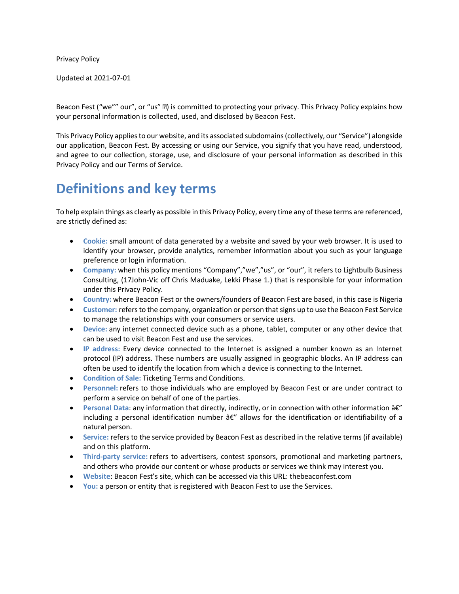Privacy Policy

Updated at 2021-07-01

Beacon Fest ("we"" our", or "us" •) is committed to protecting your privacy. This Privacy Policy explains how your personal information is collected, used, and disclosed by Beacon Fest.

This Privacy Policy applies to our website, and its associated subdomains (collectively, our "Service") alongside our application, Beacon Fest. By accessing or using our Service, you signify that you have read, understood, and agree to our collection, storage, use, and disclosure of your personal information as described in this Privacy Policy and our Terms of Service.

# **Definitions and key terms**

To help explain things as clearly as possible in this Privacy Policy, every time any of these terms are referenced, are strictly defined as:

- **Cookie:** small amount of data generated by a website and saved by your web browser. It is used to identify your browser, provide analytics, remember information about you such as your language preference or login information.
- **Company:** when this policy mentions "Company","we","us", or "our", it refers to Lightbulb Business Consulting, (17John-Vic off Chris Maduake, Lekki Phase 1.) that is responsible for your information under this Privacy Policy.
- **Country:** where Beacon Fest or the owners/founders of Beacon Fest are based, in this case is Nigeria
- **Customer:** refers to the company, organization or person that signs up to use the Beacon Fest Service to manage the relationships with your consumers or service users.
- **Device:** any internet connected device such as a phone, tablet, computer or any other device that can be used to visit Beacon Fest and use the services.
- **IP address:** Every device connected to the Internet is assigned a number known as an Internet protocol (IP) address. These numbers are usually assigned in geographic blocks. An IP address can often be used to identify the location from which a device is connecting to the Internet.
- **Condition of Sale:** Ticketing Terms and Conditions.
- **Personnel:** refers to those individuals who are employed by Beacon Fest or are under contract to perform a service on behalf of one of the parties.
- **Personal Data: any information that directly, indirectly, or in connection with other information**  $\hat{a}\epsilon''$ including a personal identification number  $\hat{a}\hat{\epsilon}''$  allows for the identification or identifiability of a natural person.
- **Service:** refers to the service provided by Beacon Fest as described in the relative terms (if available) and on this platform.
- **Third-party service:** refers to advertisers, contest sponsors, promotional and marketing partners, and others who provide our content or whose products or services we think may interest you.
- **Website**: Beacon Fest's site, which can be accessed via this URL: thebeaconfest.com
- **You:** a person or entity that is registered with Beacon Fest to use the Services.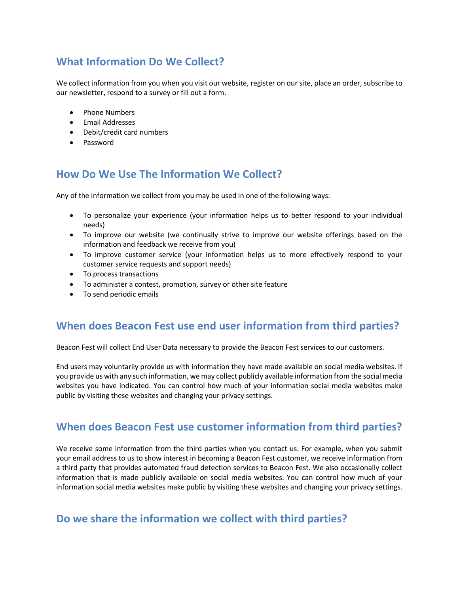# **What Information Do We Collect?**

We collect information from you when you visit our website, register on our site, place an order, subscribe to our newsletter, respond to a survey or fill out a form.

- Phone Numbers
- **•** Email Addresses
- Debit/credit card numbers
- Password

## **How Do We Use The Information We Collect?**

Any of the information we collect from you may be used in one of the following ways:

- To personalize your experience (your information helps us to better respond to your individual needs)
- To improve our website (we continually strive to improve our website offerings based on the information and feedback we receive from you)
- To improve customer service (your information helps us to more effectively respond to your customer service requests and support needs)
- To process transactions
- To administer a contest, promotion, survey or other site feature
- To send periodic emails

### **When does Beacon Fest use end user information from third parties?**

Beacon Fest will collect End User Data necessary to provide the Beacon Fest services to our customers.

End users may voluntarily provide us with information they have made available on social media websites. If you provide us with any such information, we may collect publicly available information from the social media websites you have indicated. You can control how much of your information social media websites make public by visiting these websites and changing your privacy settings.

## **When does Beacon Fest use customer information from third parties?**

We receive some information from the third parties when you contact us. For example, when you submit your email address to us to show interest in becoming a Beacon Fest customer, we receive information from a third party that provides automated fraud detection services to Beacon Fest. We also occasionally collect information that is made publicly available on social media websites. You can control how much of your information social media websites make public by visiting these websites and changing your privacy settings.

## **Do we share the information we collect with third parties?**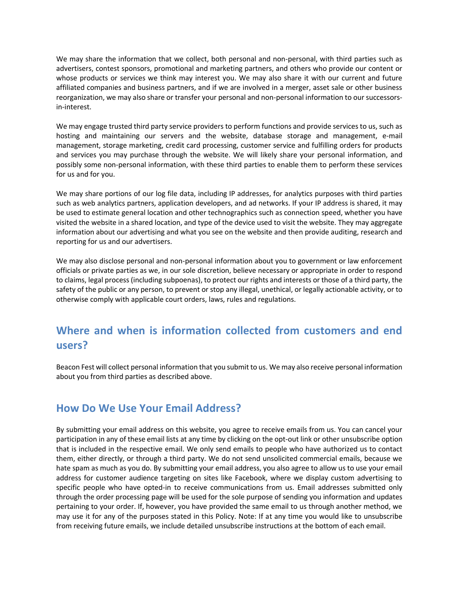We may share the information that we collect, both personal and non-personal, with third parties such as advertisers, contest sponsors, promotional and marketing partners, and others who provide our content or whose products or services we think may interest you. We may also share it with our current and future affiliated companies and business partners, and if we are involved in a merger, asset sale or other business reorganization, we may also share or transfer your personal and non-personal information to our successorsin-interest.

We may engage trusted third party service providers to perform functions and provide services to us, such as hosting and maintaining our servers and the website, database storage and management, e-mail management, storage marketing, credit card processing, customer service and fulfilling orders for products and services you may purchase through the website. We will likely share your personal information, and possibly some non-personal information, with these third parties to enable them to perform these services for us and for you.

We may share portions of our log file data, including IP addresses, for analytics purposes with third parties such as web analytics partners, application developers, and ad networks. If your IP address is shared, it may be used to estimate general location and other technographics such as connection speed, whether you have visited the website in a shared location, and type of the device used to visit the website. They may aggregate information about our advertising and what you see on the website and then provide auditing, research and reporting for us and our advertisers.

We may also disclose personal and non-personal information about you to government or law enforcement officials or private parties as we, in our sole discretion, believe necessary or appropriate in order to respond to claims, legal process (including subpoenas), to protect our rights and interests or those of a third party, the safety of the public or any person, to prevent or stop any illegal, unethical, or legally actionable activity, or to otherwise comply with applicable court orders, laws, rules and regulations.

## **Where and when is information collected from customers and end users?**

Beacon Fest will collect personal information that you submit to us. We may also receive personal information about you from third parties as described above.

#### **How Do We Use Your Email Address?**

By submitting your email address on this website, you agree to receive emails from us. You can cancel your participation in any of these email lists at any time by clicking on the opt-out link or other unsubscribe option that is included in the respective email. We only send emails to people who have authorized us to contact them, either directly, or through a third party. We do not send unsolicited commercial emails, because we hate spam as much as you do. By submitting your email address, you also agree to allow us to use your email address for customer audience targeting on sites like Facebook, where we display custom advertising to specific people who have opted-in to receive communications from us. Email addresses submitted only through the order processing page will be used for the sole purpose of sending you information and updates pertaining to your order. If, however, you have provided the same email to us through another method, we may use it for any of the purposes stated in this Policy. Note: If at any time you would like to unsubscribe from receiving future emails, we include detailed unsubscribe instructions at the bottom of each email.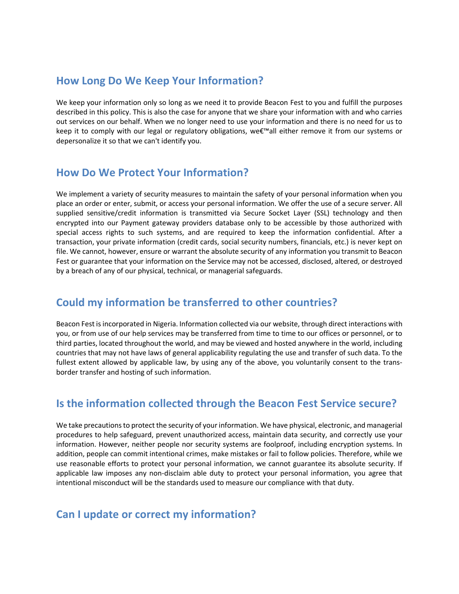### **How Long Do We Keep Your Information?**

We keep your information only so long as we need it to provide Beacon Fest to you and fulfill the purposes described in this policy. This is also the case for anyone that we share your information with and who carries out services on our behalf. When we no longer need to use your information and there is no need for us to keep it to comply with our legal or regulatory obligations, we€™all either remove it from our systems or depersonalize it so that we can't identify you.

### **How Do We Protect Your Information?**

We implement a variety of security measures to maintain the safety of your personal information when you place an order or enter, submit, or access your personal information. We offer the use of a secure server. All supplied sensitive/credit information is transmitted via Secure Socket Layer (SSL) technology and then encrypted into our Payment gateway providers database only to be accessible by those authorized with special access rights to such systems, and are required to keep the information confidential. After a transaction, your private information (credit cards, social security numbers, financials, etc.) is never kept on file. We cannot, however, ensure or warrant the absolute security of any information you transmit to Beacon Fest or guarantee that your information on the Service may not be accessed, disclosed, altered, or destroyed by a breach of any of our physical, technical, or managerial safeguards.

### **Could my information be transferred to other countries?**

Beacon Fest is incorporated in Nigeria. Information collected via our website, through direct interactions with you, or from use of our help services may be transferred from time to time to our offices or personnel, or to third parties, located throughout the world, and may be viewed and hosted anywhere in the world, including countries that may not have laws of general applicability regulating the use and transfer of such data. To the fullest extent allowed by applicable law, by using any of the above, you voluntarily consent to the transborder transfer and hosting of such information.

## **Is the information collected through the Beacon Fest Service secure?**

We take precautions to protect the security of your information. We have physical, electronic, and managerial procedures to help safeguard, prevent unauthorized access, maintain data security, and correctly use your information. However, neither people nor security systems are foolproof, including encryption systems. In addition, people can commit intentional crimes, make mistakes or fail to follow policies. Therefore, while we use reasonable efforts to protect your personal information, we cannot guarantee its absolute security. If applicable law imposes any non-disclaim able duty to protect your personal information, you agree that intentional misconduct will be the standards used to measure our compliance with that duty.

## **Can I update or correct my information?**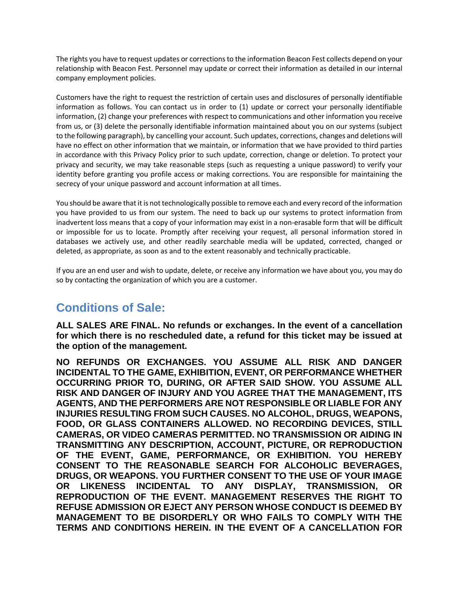The rights you have to request updates or corrections to the information Beacon Fest collects depend on your relationship with Beacon Fest. Personnel may update or correct their information as detailed in our internal company employment policies.

Customers have the right to request the restriction of certain uses and disclosures of personally identifiable information as follows. You can contact us in order to (1) update or correct your personally identifiable information, (2) change your preferences with respect to communications and other information you receive from us, or (3) delete the personally identifiable information maintained about you on our systems (subject to the following paragraph), by cancelling your account. Such updates, corrections, changes and deletions will have no effect on other information that we maintain, or information that we have provided to third parties in accordance with this Privacy Policy prior to such update, correction, change or deletion. To protect your privacy and security, we may take reasonable steps (such as requesting a unique password) to verify your identity before granting you profile access or making corrections. You are responsible for maintaining the secrecy of your unique password and account information at all times.

You should be aware that it is not technologically possible to remove each and every record of the information you have provided to us from our system. The need to back up our systems to protect information from inadvertent loss means that a copy of your information may exist in a non-erasable form that will be difficult or impossible for us to locate. Promptly after receiving your request, all personal information stored in databases we actively use, and other readily searchable media will be updated, corrected, changed or deleted, as appropriate, as soon as and to the extent reasonably and technically practicable.

If you are an end user and wish to update, delete, or receive any information we have about you, you may do so by contacting the organization of which you are a customer.

# **Conditions of Sale:**

**ALL SALES ARE FINAL. No refunds or exchanges. In the event of a cancellation for which there is no rescheduled date, a refund for this ticket may be issued at the option of the management.**

**NO REFUNDS OR EXCHANGES. YOU ASSUME ALL RISK AND DANGER INCIDENTAL TO THE GAME, EXHIBITION, EVENT, OR PERFORMANCE WHETHER OCCURRING PRIOR TO, DURING, OR AFTER SAID SHOW. YOU ASSUME ALL RISK AND DANGER OF INJURY AND YOU AGREE THAT THE MANAGEMENT, ITS AGENTS, AND THE PERFORMERS ARE NOT RESPONSIBLE OR LIABLE FOR ANY INJURIES RESULTING FROM SUCH CAUSES. NO ALCOHOL, DRUGS, WEAPONS, FOOD, OR GLASS CONTAINERS ALLOWED. NO RECORDING DEVICES, STILL CAMERAS, OR VIDEO CAMERAS PERMITTED. NO TRANSMISSION OR AIDING IN TRANSMITTING ANY DESCRIPTION, ACCOUNT, PICTURE, OR REPRODUCTION OF THE EVENT, GAME, PERFORMANCE, OR EXHIBITION. YOU HEREBY CONSENT TO THE REASONABLE SEARCH FOR ALCOHOLIC BEVERAGES, DRUGS, OR WEAPONS. YOU FURTHER CONSENT TO THE USE OF YOUR IMAGE OR LIKENESS INCIDENTAL TO ANY DISPLAY, TRANSMISSION, OR REPRODUCTION OF THE EVENT. MANAGEMENT RESERVES THE RIGHT TO REFUSE ADMISSION OR EJECT ANY PERSON WHOSE CONDUCT IS DEEMED BY MANAGEMENT TO BE DISORDERLY OR WHO FAILS TO COMPLY WITH THE TERMS AND CONDITIONS HEREIN. IN THE EVENT OF A CANCELLATION FOR**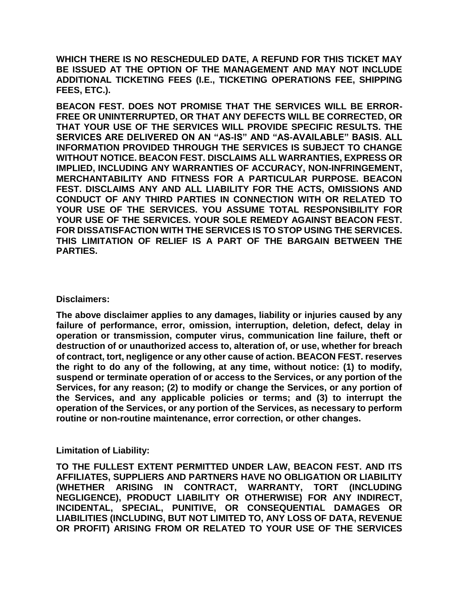**WHICH THERE IS NO RESCHEDULED DATE, A REFUND FOR THIS TICKET MAY BE ISSUED AT THE OPTION OF THE MANAGEMENT AND MAY NOT INCLUDE ADDITIONAL TICKETING FEES (I.E., TICKETING OPERATIONS FEE, SHIPPING FEES, ETC.).**

**BEACON FEST. DOES NOT PROMISE THAT THE SERVICES WILL BE ERROR-FREE OR UNINTERRUPTED, OR THAT ANY DEFECTS WILL BE CORRECTED, OR THAT YOUR USE OF THE SERVICES WILL PROVIDE SPECIFIC RESULTS. THE SERVICES ARE DELIVERED ON AN "AS-IS" AND "AS-AVAILABLE" BASIS. ALL INFORMATION PROVIDED THROUGH THE SERVICES IS SUBJECT TO CHANGE WITHOUT NOTICE. BEACON FEST. DISCLAIMS ALL WARRANTIES, EXPRESS OR IMPLIED, INCLUDING ANY WARRANTIES OF ACCURACY, NON-INFRINGEMENT, MERCHANTABILITY AND FITNESS FOR A PARTICULAR PURPOSE. BEACON FEST. DISCLAIMS ANY AND ALL LIABILITY FOR THE ACTS, OMISSIONS AND CONDUCT OF ANY THIRD PARTIES IN CONNECTION WITH OR RELATED TO YOUR USE OF THE SERVICES. YOU ASSUME TOTAL RESPONSIBILITY FOR YOUR USE OF THE SERVICES. YOUR SOLE REMEDY AGAINST BEACON FEST. FOR DISSATISFACTION WITH THE SERVICES IS TO STOP USING THE SERVICES. THIS LIMITATION OF RELIEF IS A PART OF THE BARGAIN BETWEEN THE PARTIES.**

**Disclaimers:**

**The above disclaimer applies to any damages, liability or injuries caused by any failure of performance, error, omission, interruption, deletion, defect, delay in operation or transmission, computer virus, communication line failure, theft or destruction of or unauthorized access to, alteration of, or use, whether for breach of contract, tort, negligence or any other cause of action. BEACON FEST. reserves the right to do any of the following, at any time, without notice: (1) to modify, suspend or terminate operation of or access to the Services, or any portion of the Services, for any reason; (2) to modify or change the Services, or any portion of the Services, and any applicable policies or terms; and (3) to interrupt the operation of the Services, or any portion of the Services, as necessary to perform routine or non-routine maintenance, error correction, or other changes.**

**Limitation of Liability:**

**TO THE FULLEST EXTENT PERMITTED UNDER LAW, BEACON FEST. AND ITS AFFILIATES, SUPPLIERS AND PARTNERS HAVE NO OBLIGATION OR LIABILITY (WHETHER ARISING IN CONTRACT, WARRANTY, TORT (INCLUDING NEGLIGENCE), PRODUCT LIABILITY OR OTHERWISE) FOR ANY INDIRECT, INCIDENTAL, SPECIAL, PUNITIVE, OR CONSEQUENTIAL DAMAGES OR LIABILITIES (INCLUDING, BUT NOT LIMITED TO, ANY LOSS OF DATA, REVENUE OR PROFIT) ARISING FROM OR RELATED TO YOUR USE OF THE SERVICES**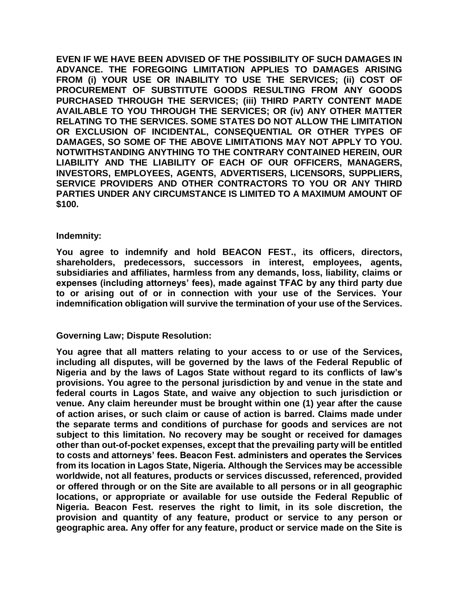**EVEN IF WE HAVE BEEN ADVISED OF THE POSSIBILITY OF SUCH DAMAGES IN ADVANCE. THE FOREGOING LIMITATION APPLIES TO DAMAGES ARISING FROM (i) YOUR USE OR INABILITY TO USE THE SERVICES; (ii) COST OF PROCUREMENT OF SUBSTITUTE GOODS RESULTING FROM ANY GOODS PURCHASED THROUGH THE SERVICES; (iii) THIRD PARTY CONTENT MADE AVAILABLE TO YOU THROUGH THE SERVICES; OR (iv) ANY OTHER MATTER RELATING TO THE SERVICES. SOME STATES DO NOT ALLOW THE LIMITATION OR EXCLUSION OF INCIDENTAL, CONSEQUENTIAL OR OTHER TYPES OF DAMAGES, SO SOME OF THE ABOVE LIMITATIONS MAY NOT APPLY TO YOU. NOTWITHSTANDING ANYTHING TO THE CONTRARY CONTAINED HEREIN, OUR LIABILITY AND THE LIABILITY OF EACH OF OUR OFFICERS, MANAGERS, INVESTORS, EMPLOYEES, AGENTS, ADVERTISERS, LICENSORS, SUPPLIERS, SERVICE PROVIDERS AND OTHER CONTRACTORS TO YOU OR ANY THIRD PARTIES UNDER ANY CIRCUMSTANCE IS LIMITED TO A MAXIMUM AMOUNT OF \$100.**

#### **Indemnity:**

**You agree to indemnify and hold BEACON FEST., its officers, directors, shareholders, predecessors, successors in interest, employees, agents, subsidiaries and affiliates, harmless from any demands, loss, liability, claims or expenses (including attorneys' fees), made against TFAC by any third party due to or arising out of or in connection with your use of the Services. Your indemnification obligation will survive the termination of your use of the Services.**

#### **Governing Law; Dispute Resolution:**

**You agree that all matters relating to your access to or use of the Services, including all disputes, will be governed by the laws of the Federal Republic of Nigeria and by the laws of Lagos State without regard to its conflicts of law's provisions. You agree to the personal jurisdiction by and venue in the state and federal courts in Lagos State, and waive any objection to such jurisdiction or venue. Any claim hereunder must be brought within one (1) year after the cause of action arises, or such claim or cause of action is barred. Claims made under the separate terms and conditions of purchase for goods and services are not subject to this limitation. No recovery may be sought or received for damages other than out-of-pocket expenses, except that the prevailing party will be entitled to costs and attorneys' fees. Beacon Fest. administers and operates the Services from its location in Lagos State, Nigeria. Although the Services may be accessible worldwide, not all features, products or services discussed, referenced, provided or offered through or on the Site are available to all persons or in all geographic locations, or appropriate or available for use outside the Federal Republic of Nigeria. Beacon Fest. reserves the right to limit, in its sole discretion, the provision and quantity of any feature, product or service to any person or geographic area. Any offer for any feature, product or service made on the Site is**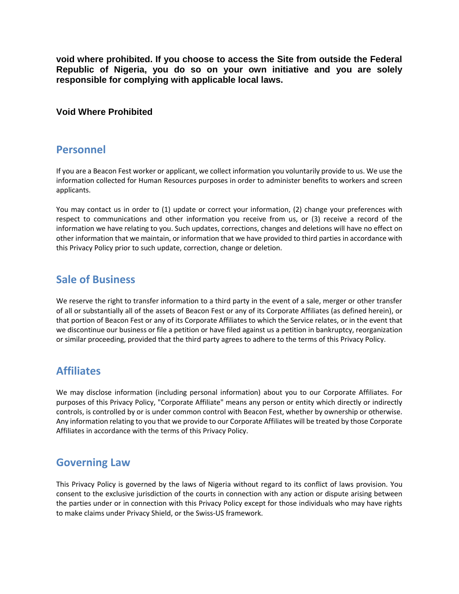**void where prohibited. If you choose to access the Site from outside the Federal Republic of Nigeria, you do so on your own initiative and you are solely responsible for complying with applicable local laws.**

#### **Void Where Prohibited**

#### **Personnel**

If you are a Beacon Fest worker or applicant, we collect information you voluntarily provide to us. We use the information collected for Human Resources purposes in order to administer benefits to workers and screen applicants.

You may contact us in order to (1) update or correct your information, (2) change your preferences with respect to communications and other information you receive from us, or (3) receive a record of the information we have relating to you. Such updates, corrections, changes and deletions will have no effect on other information that we maintain, or information that we have provided to third parties in accordance with this Privacy Policy prior to such update, correction, change or deletion.

### **Sale of Business**

We reserve the right to transfer information to a third party in the event of a sale, merger or other transfer of all or substantially all of the assets of Beacon Fest or any of its Corporate Affiliates (as defined herein), or that portion of Beacon Fest or any of its Corporate Affiliates to which the Service relates, or in the event that we discontinue our business or file a petition or have filed against us a petition in bankruptcy, reorganization or similar proceeding, provided that the third party agrees to adhere to the terms of this Privacy Policy.

### **Affiliates**

We may disclose information (including personal information) about you to our Corporate Affiliates. For purposes of this Privacy Policy, "Corporate Affiliate" means any person or entity which directly or indirectly controls, is controlled by or is under common control with Beacon Fest, whether by ownership or otherwise. Any information relating to you that we provide to our Corporate Affiliates will be treated by those Corporate Affiliates in accordance with the terms of this Privacy Policy.

### **Governing Law**

This Privacy Policy is governed by the laws of Nigeria without regard to its conflict of laws provision. You consent to the exclusive jurisdiction of the courts in connection with any action or dispute arising between the parties under or in connection with this Privacy Policy except for those individuals who may have rights to make claims under Privacy Shield, or the Swiss-US framework.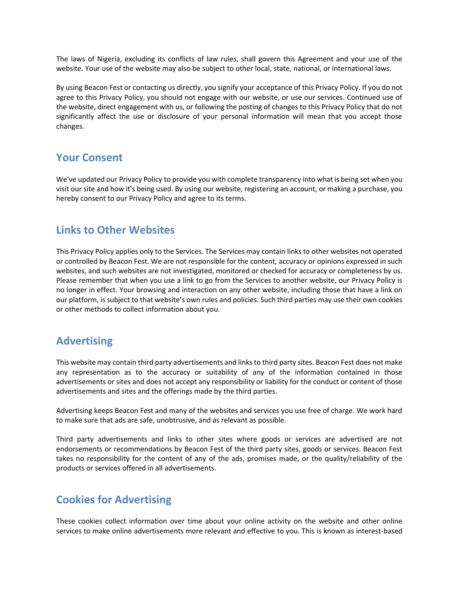The laws of Nigeria, excluding its conflicts of law rules, shall govern this Agreement and your use of the website. Your use of the website may also be subject to other local, state, national, or international laws.

By using Beacon Fest or contacting us directly, you signify your acceptance of this Privacy Policy. If you do not agree to this Privacy Policy, you should not engage with our website, or use our services. Continued use of the website, direct engagement with us, or following the posting of changes to this Privacy Policy that do not significantly affect the use or disclosure of your personal information will mean that you accept those changes.

#### **Your Consent**

We've updated our Privacy Policy to provide you with complete transparency into what is being set when you visit our site and how it's being used. By using our website, registering an account, or making a purchase, you hereby consent to our Privacy Policy and agree to its terms.

### **Links to Other Websites**

This Privacy Policy applies only to the Services. The Services may contain links to other websites not operated or controlled by Beacon Fest. We are not responsible for the content, accuracy or opinions expressed in such websites, and such websites are not investigated, monitored or checked for accuracy or completeness by us. Please remember that when you use a link to go from the Services to another website, our Privacy Policy is no longer in effect. Your browsing and interaction on any other website, including those that have a link on our platform, is subject to that website's own rules and policies. Such third parties may use their own cookies or other methods to collect information about you.

### **Advertising**

This website may contain third party advertisements and links to third party sites. Beacon Fest does not make any representation as to the accuracy or suitability of any of the information contained in those advertisements or sites and does not accept any responsibility or liability for the conduct or content of those advertisements and sites and the offerings made by the third parties.

Advertising keeps Beacon Fest and many of the websites and services you use free of charge. We work hard to make sure that ads are safe, unobtrusive, and as relevant as possible.

Third party advertisements and links to other sites where goods or services are advertised are not endorsements or recommendations by Beacon Fest of the third party sites, goods or services. Beacon Fest takes no responsibility for the content of any of the ads, promises made, or the quality/reliability of the products or services offered in all advertisements.

### **Cookies for Advertising**

These cookies collect information over time about your online activity on the website and other online services to make online advertisements more relevant and effective to you. This is known as interest-based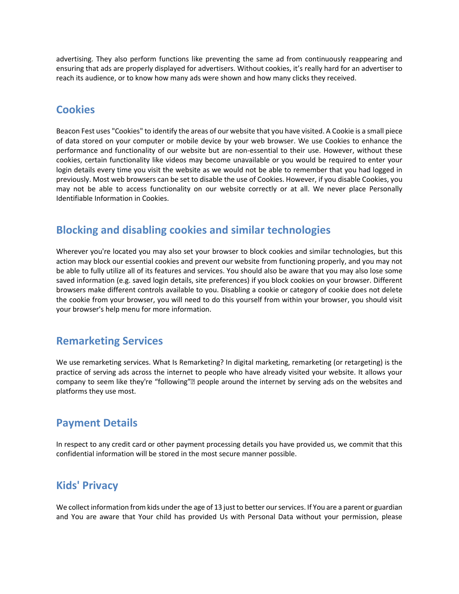advertising. They also perform functions like preventing the same ad from continuously reappearing and ensuring that ads are properly displayed for advertisers. Without cookies, it's really hard for an advertiser to reach its audience, or to know how many ads were shown and how many clicks they received.

### **Cookies**

Beacon Fest uses "Cookies" to identify the areas of our website that you have visited. A Cookie is a small piece of data stored on your computer or mobile device by your web browser. We use Cookies to enhance the performance and functionality of our website but are non-essential to their use. However, without these cookies, certain functionality like videos may become unavailable or you would be required to enter your login details every time you visit the website as we would not be able to remember that you had logged in previously. Most web browsers can be set to disable the use of Cookies. However, if you disable Cookies, you may not be able to access functionality on our website correctly or at all. We never place Personally Identifiable Information in Cookies.

## **Blocking and disabling cookies and similar technologies**

Wherever you're located you may also set your browser to block cookies and similar technologies, but this action may block our essential cookies and prevent our website from functioning properly, and you may not be able to fully utilize all of its features and services. You should also be aware that you may also lose some saved information (e.g. saved login details, site preferences) if you block cookies on your browser. Different browsers make different controls available to you. Disabling a cookie or category of cookie does not delete the cookie from your browser, you will need to do this yourself from within your browser, you should visit your browser's help menu for more information.

### **Remarketing Services**

We use remarketing services. What Is Remarketing? In digital marketing, remarketing (or retargeting) is the practice of serving ads across the internet to people who have already visited your website. It allows your company to seem like they're "following"• people around the internet by serving ads on the websites and platforms they use most.

### **Payment Details**

In respect to any credit card or other payment processing details you have provided us, we commit that this confidential information will be stored in the most secure manner possible.

### **Kids' Privacy**

We collect information from kids under the age of 13 just to better our services. If You are a parent or guardian and You are aware that Your child has provided Us with Personal Data without your permission, please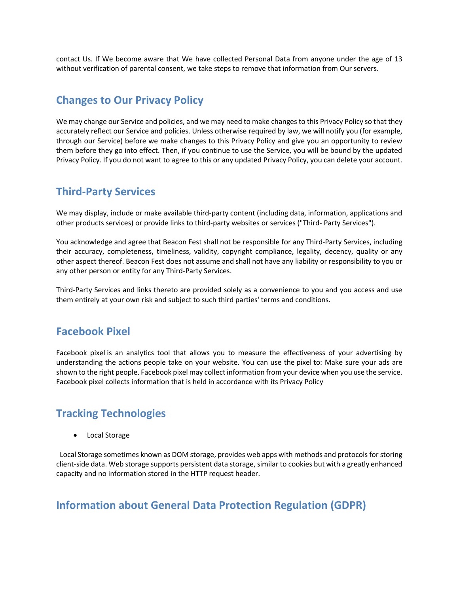contact Us. If We become aware that We have collected Personal Data from anyone under the age of 13 without verification of parental consent, we take steps to remove that information from Our servers.

### **Changes to Our Privacy Policy**

We may change our Service and policies, and we may need to make changes to this Privacy Policy so that they accurately reflect our Service and policies. Unless otherwise required by law, we will notify you (for example, through our Service) before we make changes to this Privacy Policy and give you an opportunity to review them before they go into effect. Then, if you continue to use the Service, you will be bound by the updated Privacy Policy. If you do not want to agree to this or any updated Privacy Policy, you can delete your account.

### **Third-Party Services**

We may display, include or make available third-party content (including data, information, applications and other products services) or provide links to third-party websites or services ("Third- Party Services").

You acknowledge and agree that Beacon Fest shall not be responsible for any Third-Party Services, including their accuracy, completeness, timeliness, validity, copyright compliance, legality, decency, quality or any other aspect thereof. Beacon Fest does not assume and shall not have any liability or responsibility to you or any other person or entity for any Third-Party Services.

Third-Party Services and links thereto are provided solely as a convenience to you and you access and use them entirely at your own risk and subject to such third parties' terms and conditions.

### **Facebook Pixel**

Facebook pixel is an analytics tool that allows you to measure the effectiveness of your advertising by understanding the actions people take on your website. You can use the pixel to: Make sure your ads are shown to the right people. Facebook pixel may collect information from your device when you use the service. Facebook pixel collects information that is held in accordance with its Privacy Policy

## **Tracking Technologies**

Local Storage

 Local Storage sometimes known as DOM storage, provides web apps with methods and protocols for storing client-side data. Web storage supports persistent data storage, similar to cookies but with a greatly enhanced capacity and no information stored in the HTTP request header.

### **Information about General Data Protection Regulation (GDPR)**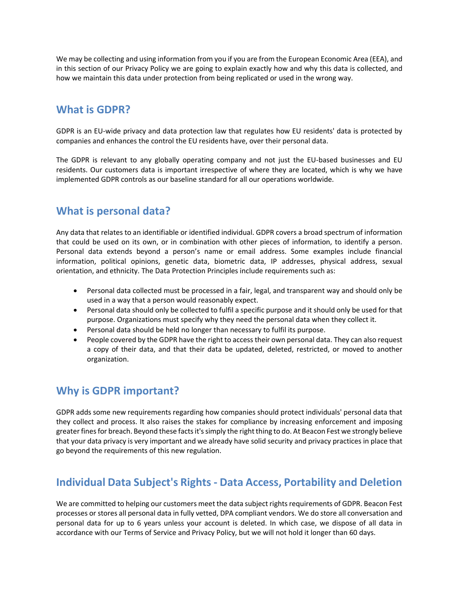We may be collecting and using information from you if you are from the European Economic Area (EEA), and in this section of our Privacy Policy we are going to explain exactly how and why this data is collected, and how we maintain this data under protection from being replicated or used in the wrong way.

### **What is GDPR?**

GDPR is an EU-wide privacy and data protection law that regulates how EU residents' data is protected by companies and enhances the control the EU residents have, over their personal data.

The GDPR is relevant to any globally operating company and not just the EU-based businesses and EU residents. Our customers data is important irrespective of where they are located, which is why we have implemented GDPR controls as our baseline standard for all our operations worldwide.

### **What is personal data?**

Any data that relates to an identifiable or identified individual. GDPR covers a broad spectrum of information that could be used on its own, or in combination with other pieces of information, to identify a person. Personal data extends beyond a person's name or email address. Some examples include financial information, political opinions, genetic data, biometric data, IP addresses, physical address, sexual orientation, and ethnicity. The Data Protection Principles include requirements such as:

- Personal data collected must be processed in a fair, legal, and transparent way and should only be used in a way that a person would reasonably expect.
- Personal data should only be collected to fulfil a specific purpose and it should only be used for that purpose. Organizations must specify why they need the personal data when they collect it.
- Personal data should be held no longer than necessary to fulfil its purpose.
- People covered by the GDPR have the right to access their own personal data. They can also request a copy of their data, and that their data be updated, deleted, restricted, or moved to another organization.

## **Why is GDPR important?**

GDPR adds some new requirements regarding how companies should protect individuals' personal data that they collect and process. It also raises the stakes for compliance by increasing enforcement and imposing greater fines for breach. Beyond these facts it's simply the right thing to do. At Beacon Fest we strongly believe that your data privacy is very important and we already have solid security and privacy practices in place that go beyond the requirements of this new regulation.

## **Individual Data Subject's Rights - Data Access, Portability and Deletion**

We are committed to helping our customers meet the data subject rights requirements of GDPR. Beacon Fest processes or stores all personal data in fully vetted, DPA compliant vendors. We do store all conversation and personal data for up to 6 years unless your account is deleted. In which case, we dispose of all data in accordance with our Terms of Service and Privacy Policy, but we will not hold it longer than 60 days.